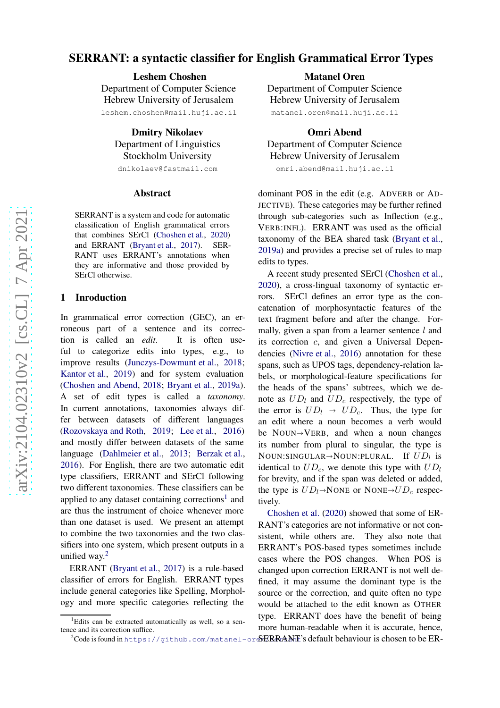# SERRANT: a syntactic classifier for English Grammatical Error Types

Leshem Choshen Department of Computer Science Hebrew University of Jerusalem leshem.choshen@mail.huji.ac.il

> Dmitry Nikolaev Department of Linguistics Stockholm University

dnikolaev@fastmail.com

#### Abstract

SERRANT is a system and code for automatic classification of English grammatical errors that combines SErCl [\(Choshen et al.](#page-2-0) , [2020](#page-2-0) ) and ERRANT [\(Bryant et al.](#page-2-1) , [2017\)](#page-2-1). SER-RANT uses ERRANT's annotations when they are informative and those provided by SErCl otherwise.

#### 1 Inroduction

In grammatical error correction (GEC), an erroneous part of a sentence and its correction is called an *edit*. It is often useful to categorize edits into types, e.g., to improve results [\(Junczys-Dowmunt et al.](#page-2-2) , [2018](#page-2-2) ; [Kantor et al.](#page-2-3) , [2019](#page-2-3)) and for system evaluation [\(Choshen and Abend](#page-2-4) , [2018](#page-2-4) ; [Bryant et al.](#page-2-5) , [2019a\)](#page-2-5). A set of edit types is called a *taxonomy* . In current annotations, taxonomies always differ between datasets of different languages [\(Rozovskaya and Roth,](#page-2-6) [2019](#page-2-6); [Lee et al.,](#page-2-7) [2016](#page-2-7)) and mostly differ between datasets of the same language [\(Dahlmeier et al.](#page-2-8), [2013](#page-2-8); [Berzak et al.](#page-2-9), [2016\)](#page-2-9). For English, there are two automatic edit type classifiers, ERRANT and SErCl following two different taxonomies. These classifiers can be applied to any dataset containing corrections<sup>[1](#page-0-0)</sup> and are thus the instrument of choice whenever more than one dataset is used. We present an attempt to combine the two taxonomies and the two classifiers into one system, which present outputs in a unified way. [2](#page-0-1)

ERRANT [\(Bryant et al.](#page-2-1) , [2017](#page-2-1)) is a rule-based classifier of errors for English. ERRANT types include general categories like Spelling, Morphology and more specific categories reflecting the

Matanel Oren Department of Computer Science Hebrew University of Jerusalem matanel.oren@mail.huji.ac.il

Omri Abend Department of Computer Science Hebrew University of Jerusalem omri.abend@mail.huji.ac.il

dominant POS in the edit (e.g. ADVERB or AD-JECTIVE). These categories may be further refined through sub-categories such as Inflection (e.g., VERB:INFL). ERRANT was used as the official taxonomy of the BEA shared task [\(Bryant et al.](#page-2-5) , [2019a\)](#page-2-5) and provides a precise set of rules to map edits to types.

A recent study presented SErCl [\(Choshen et al.](#page-2-0) , [2020](#page-2-0)), a cross-lingual taxonomy of syntactic errors. SErCl defines an error type as the concatenation of morphosyntactic features of the text fragment before and after the change. Formally, given a span from a learner sentence  $l$  and its correction c, and given a Universal Dependencies [\(Nivre et al.,](#page-2-10) [2016](#page-2-10)) annotation for these spans, such as UPOS tags, dependency-relation labels, or morphological-feature specifications for the heads of the spans' subtrees, which we denote as  $UD_l$  and  $UD_c$  respectively, the type of the error is  $UD_l \rightarrow UD_c$ . Thus, the type for an edit where a noun becomes a verb would be NOUN VERB, and when a noun changes its number from plural to singular, the type is NOUN:SINGULAR→NOUN:PLURAL. If  $UD_l$  is identical to  $UD_c$ , we denote this type with  $UD_l$ for brevity, and if the span was deleted or added, the type is  $UD_l \rightarrow \text{None}$  or NONE $\rightarrow UD_c$  respectively.

 $^2$ Code is found in <code>https://github.com/matanel-or</code>  $\rm sERRAME$ 's default behaviour is chosen to be <code>ER-</code> [Choshen et al.](#page-2-0) [\(2020\)](#page-2-0) showed that some of ER-RANT's categories are not informative or not consistent, while others are. They also note that ERRANT's POS-based types sometimes include cases where the POS changes. When POS is changed upon correction ERRANT is not well defined, it may assume the dominant type is the source or the correction, and quite often no type would be attached to the edit known as OTHER type. ERRANT does have the benefit of being more human-readable when it is accurate, hence,

<span id="page-0-1"></span><span id="page-0-0"></span><sup>&</sup>lt;sup>1</sup>Edits can be extracted automatically as well, so a sentence and its correction suffice.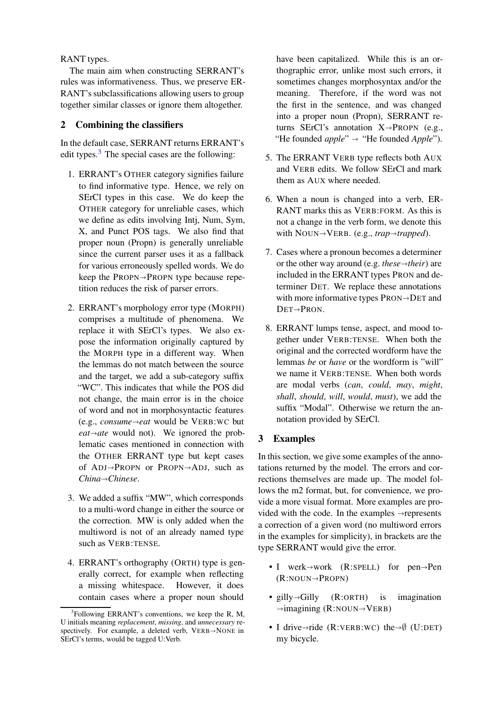RANT types.

The main aim when constructing SERRANT's rules was informativeness. Thus, we preserve ER-RANT's subclassifications allowing users to group together similar classes or ignore them altogether.

## 2 Combining the classifiers

In the default case, SERRANT returns ERRANT's edit types. $3$  The special cases are the following:

- 1. ERRANT's OTHER category signifies failure to find informative type. Hence, we rely on SErCl types in this case. We do keep the OTHER category for unreliable cases, which we define as edits involving Intj, Num, Sym, X, and Punct POS tags. We also find that proper noun (Propn) is generally unreliable since the current parser uses it as a fallback for various erroneously spelled words. We do keep the  $PROPN \rightarrow PROPN$  type because repetition reduces the risk of parser errors.
- 2. ERRANT's morphology error type (MORPH) comprises a multitude of phenomena. We replace it with SErCl's types. We also expose the information originally captured by the MORPH type in a different way. When the lemmas do not match between the source and the target, we add a sub-category suffix "WC". This indicates that while the POS did not change, the main error is in the choice of word and not in morphosyntactic features (e.g., *consumeeat* would be VERB:WC but  $eat \rightarrow ate$  would not). We ignored the problematic cases mentioned in connection with the OTHER ERRANT type but kept cases of  $ADJ \rightarrow PROPN$  or  $PROPN \rightarrow ADJ$ , such as *ChinaChinese*.
- 3. We added a suffix "MW", which corresponds to a multi-word change in either the source or the correction. MW is only added when the multiword is not of an already named type such as VERB:TENSE.
- 4. ERRANT's orthography (ORTH) type is generally correct, for example when reflecting a missing whitespace. However, it does contain cases where a proper noun should

have been capitalized. While this is an orthographic error, unlike most such errors, it sometimes changes morphosyntax and/or the meaning. Therefore, if the word was not the first in the sentence, and was changed into a proper noun (Propn), SERRANT returns SErCl's annotation  $X \rightarrow$ PROPN (e.g., "He founded *apple*"  $\rightarrow$  "He founded *Apple*").

- 5. The ERRANT VERB type reflects both AUX and VERB edits. We follow SErCl and mark them as AUX where needed.
- 6. When a noun is changed into a verb, ER-RANT marks this as VERB:FORM. As this is not a change in the verb form, we denote this with NOUN $\rightarrow$ VERB. (e.g., *trap* $\rightarrow$ *trapped*).
- 7. Cases where a pronoun becomes a determiner or the other way around (e.g. *these* $\rightarrow$ *their*) are included in the ERRANT types PRON and determiner DET. We replace these annotations with more informative types  $PRON \rightarrow DET$  and  $DEF \rightarrow \nPeron$ .
- 8. ERRANT lumps tense, aspect, and mood together under VERB:TENSE. When both the original and the corrected wordform have the lemmas *be* or *have* or the wordform is "will" we name it VERB:TENSE. When both words are modal verbs (*can*, *could*, *may*, *might*, *shall*, *should*, *will*, *would*, *must*), we add the suffix "Modal". Otherwise we return the annotation provided by SErCl.

## 3 Examples

In this section, we give some examples of the annotations returned by the model. The errors and corrections themselves are made up. The model follows the m2 format, but, for convenience, we provide a more visual format. More examples are provided with the code. In the examples  $\rightarrow$  represents a correction of a given word (no multiword errors in the examples for simplicity), in brackets are the type SERRANT would give the error.

- I werk $\rightarrow$ work (R:SPELL) for pen $\rightarrow$ Pen  $(R:NOUN \rightarrow PROPN)$
- gilly $\rightarrow$ Gilly (R:ORTH) is imagination  $\rightarrow$ imagining (R:NOUN $\rightarrow$ VERB)
- I drive $\rightarrow$ ride (R:VERB:WC) the $\rightarrow$  $\emptyset$  (U:DET) my bicycle.

<span id="page-1-0"></span> $3$ Following ERRANT's conventions, we keep the R, M, U initials meaning *replacement*, *missing*, and *unnecessary* respectively. For example, a deleted verb,  $VERB \rightarrow \text{NONE}$  in SErCl's terms, would be tagged U:Verb.